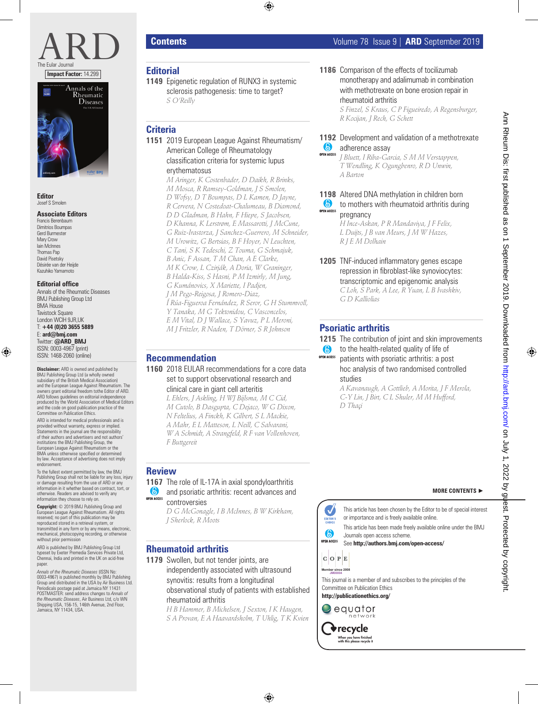



**Editor** Josef S Smolen

#### **Associate Editors**

Francis Berenbaum Dimitrios Boumpas Gerd Burmester Mary Crow Iain McInnes Thomas Pap David Pisetsky Désirée van der Heijde Kazuhiko Yamamoto

#### **Editorial office**

Annals of the Rheumatic Diseases BMJ Publishing Group Ltd BMA House **Tavistock Square** London WCIH 9JR, I IK T: **+44 (0)20 3655 5889** E: **ard@bmj.com** Twitter: **@ARD\_BMJ** ISSN: 0003-4967 (print) ISSN: 1468-2060 (online)

**Disclaimer:** ARD is owned and published by BMJ Publishing Group Ltd (a wholly owned subsidiary of the British Medical Association) and the European League Against Rheumatism. The owners grant editorial freedom tothe Editor of ARD. ARD follows guidelines on editorial independence produced by the World Association of Medical Editors and the code on good publication practice of the Committee on Publication Ethics.

ARD is intended for medical professionals and is provided without warranty, express or implied. Statements in the journal are the responsibility of their authors and advertisers and not authors' institutions the BMJ Publishing Group, the European League Against Rheumatism or the BMA unless otherwise specified or determined by law. Acceptance of advertising does not imply endorsement.

To the fullest extent permitted by law, the BMJ Publishing Group shall not be liable for any loss, injury or damage resulting from the use of ARD or any information in it whether based on contract, tort, or otherwise. Readers are advised to verify any information they choose to rely on.

**Copyright:** © 2019 BMJ Publishing Group and European League Against Rheumatism. All rights reserved; no part of this publication may be reproduced stored in a retrieval system, or transmitted in any form or by any means, electronic, mechanical, photocopying recording, or otherwise without prior permission

ARD is published by BMJ Publishing Group Ltd typeset by Exeter Premedia Services Private Ltd, Chennai, India and printed in the UK on acid-free paper.

A*nnals of the Rheumatic Diseases* (ISSN No:<br>0003-4967) is published monthly by BMJ Publishing<br>Group and distributed in the USA by Air Business Ltd. Periodicals postage paid at Jamaica NY 11431 POSTMASTER: send address changes to *Annals of the Rheumatic Diseases*, Air Business Ltd, c/o WN Shipping USA, 156-15, 146th Avenue, 2nd Floor, Jamaica, NY 11434, USA.

## **Editorial**

**1149** Epigenetic regulation of RUNX3 in systemic sclerosis pathogenesis: time to target? *S O'Reilly*

# **Criteria**

**1151** 2019 European League Against Rheumatism/ American College of Rheumatology classification criteria for systemic lupus erythematosus

> *M Aringer, K Costenbader, D Daikh, R Brinks, M Mosca, R Ramsey-Goldman, J S Smolen, D Wofsy, D T Boumpas, D L Kamen, D Jayne, R Cervera, N Costedoat-Chalumeau, B Diamond, D D Gladman, B Hahn, F Hiepe, S Jacobsen, D Khanna, K Lerstrøm, E Massarotti, J McCune, G Ruiz-Irastorza, J Sanchez-Guerrero, M Schneider, M Urowitz, G Bertsias, B F Hoyer, N Leuchten, C Tani, S K Tedeschi, Z Touma, G Schmajuk, B Anic, F Assan, T M Chan, A E Clarke, M K Crow, L Czirják, A Doria, W Graninger, B Halda-Kiss, S Hasni, P M Izmirly, M Jung, G Kumánovics, X Mariette, I Padjen, J M Pego-Reigosa, J Romero-Diaz, Í Rúa-Figueroa Fernández, R Seror, G H Stummvoll, Y Tanaka, M G Tektonidou, C Vasconcelos, E M Vital, D J Wallace, S Yavuz, P L Meroni, M J Fritzler, R Naden, T Dörner, S R Johnson*

### **Recommendation**

**1160** 2018 EULAR recommendations for a core data set to support observational research and clinical care in giant cell arteritis

*L Ehlers, J Askling, H WJ Bijlsma, M C Cid, M Cutolo, B Dasgupta, C Dejaco, W G Dixon, N Feltelius, A Finckh, K Gilbert, S L Mackie, A Mahr, E L Matteson, L Neill, C Salvarani, W A Schmidt, A Strangfeld, R F van Vollenhoven, F Buttgereit*

### **Review**

- **1167** The role of IL-17A in axial spondyloarthritis **and psoriatic arthritis: recent advances and**
- **OPEN ACCESS** controversies *D G McGonagle, I B McInnes, B W Kirkham, J Sherlock, R Moots*

## **Rheumatoid arthritis**

1179 Swollen, but not tender joints, are independently associated with ultrasound synovitis: results from a longitudinal observational study of patients with established rheumatoid arthritis

*H B Hammer, B Michelsen, J Sexton, I K Haugen, S A Provan, E A Haavardsholm, T Uhlig, T K Kvien* **1186** Comparison of the effects of tocilizumab monotherapy and adalimumab in combination with methotrexate on bone erosion repair in rheumatoid arthritis *S Finzel, S Kraus, C P Figueiredo, A Regensburger, R Kocijan, J Rech, G Schett*

**1192** Development and validation of a methotrexate **b** adherence assay

**OPEN ACCESS** *J Bluett, I Riba-Garcia, S M M Verstappen, T Wendling, K Ogungbenro, R D Unwin, A Barton*

**1198** Altered DNA methylation in children born **to mothers with rheumatoid arthritis during OPEN ACCESS** pregnancy

*H Ince-Askan, P R Mandaviya, J F Felix, L Duijts, J B van Meurs, J M W Hazes, R J E M Dolhain*

**1205** TNF-induced inflammatory genes escape repression in fibroblast-like synoviocytes: transcriptomic and epigenomic analysis *C Loh, S Park, A Lee, R Yuan, L B Ivashkiv, G D Kalliolias*

# **Psoriatic arthritis**

**1215** The contribution of joint and skin improvements

to the health-related quality of life of  $\odot$ 

**OPEN ACCESS** patients with psoriatic arthritis: a post hoc analysis of two randomised controlled studies

*A Kavanaugh, A Gottlieb, A Morita, J F Merola, C-Y Lin, J Birt, C L Shuler, M M Hufford, D Thaçi*



This article has been chosen by the Editor to be of special interest or importance and is freely available online.

**MORE CONTENTS** ►

This article has been made freely available online under the BMJ Journals open access scheme.

See **http://authors.bmj.com/open-access/**



This journal is a member of and subscribes to the principles of the Committee on Publication Ethics

**http://publicationethics.org/**

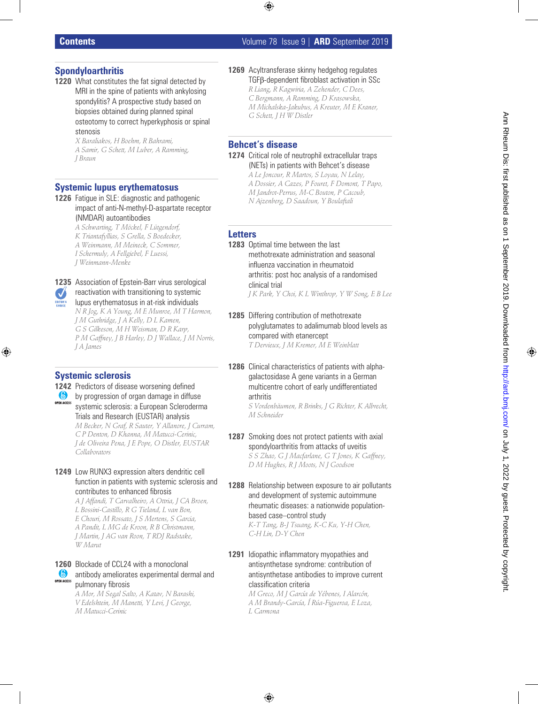## **Contents** Volume 78 Issue 9 | **ARD** September 2019

# **Spondyloarthritis**

1220 What constitutes the fat signal detected by MRI in the spine of patients with ankylosing spondylitis? A prospective study based on biopsies obtained during planned spinal osteotomy to correct hyperkyphosis or spinal stenosis

> *X Baraliakos, H Boehm, R Bahrami, A Samir, G Schett, M Luber, A Ramming, J Braun*

# **Systemic lupus erythematosus**

**1226** Fatigue in SLE: diagnostic and pathogenic impact of anti-N-methyl-D-aspartate receptor (NMDAR) autoantibodies

> *A Schwarting, T Möckel, F Lütgendorf, K Triantafyllias, S Grella, S Boedecker, A Weinmann, M Meineck, C Sommer, I Schermuly, A Fellgiebel, F Luessi, J Weinmann-Menke*



lupus erythematosus in at-risk individuals *N R Jog, K A Young, M E Munroe, M T Harmon, J M Guthridge, J A Kelly, D L Kamen, G S Gilkeson, M H Weisman, D R Karp, P M Gaffney, J B Harley, D J Wallace, J M Norris, J A James*

# **Systemic sclerosis**

EDITOR'S<br>CHOICE

- **1242** Predictors of disease worsening defined by progression of organ damage in diffuse **OPEN ACCESS** systemic sclerosis: a European Scleroderma Trials and Research (EUSTAR) analysis *M Becker, N Graf, R Sauter, Y Allanore, J Curram, C P Denton, D Khanna, M Matucci-Cerinic, J de Oliveira Pena, J E Pope, O Distler, EUSTAR Collaborators*
- **1249** Low RUNX3 expression alters dendritic cell function in patients with systemic sclerosis and contributes to enhanced fibrosis

*A J Affandi, T Carvalheiro, A Ottria, J CA Broen, L Bossini-Castillo, R G Tieland, L van Bon, E Chouri, M Rossato, J S Mertens, S Garcia, A Pandit, L MG de Kroon, R B Christmann, J Martin, J AG van Roon, T RDJ Radstake, W Marut*

#### **1260** Blockade of CCL24 with a monoclonal OPEN ACCESS antibody ameliorates experimental dermal and pulmonary fibrosis

*A Mor, M Segal Salto, A Katav, N Barashi, V Edelshtein, M Manetti, Y Levi, J George, M Matucci-Cerinic*

**1269** Acyltransferase skinny hedgehog regulates TGFβ-dependent fibroblast activation in SSc *R Liang, R Kagwiria, A Zehender, C Dees, C Bergmann, A Ramming, D Krasowska, M Michalska-Jakubus, A Kreuter, M E Kraner, G Schett, J H W Distler*

# **Behcet's disease**

**1274** Critical role of neutrophil extracellular traps (NETs) in patients with Behcet's disease *A Le Joncour, R Martos, S Loyau, N Lelay, A Dossier, A Cazes, P Fouret, F Domont, T Papo, M Jandrot-Perrus, M-C Bouton, P Cacoub, N Ajzenberg, D Saadoun, Y Boulaftali*

# **Letters**

- **1283** Optimal time between the last methotrexate administration and seasonal influenza vaccination in rheumatoid arthritis: post hoc analysis of a randomised clinical trial *J K Park, Y Choi, K L Winthrop, Y W Song, E B Lee*
- **1285** Differing contribution of methotrexate polyglutamates to adalimumab blood levels as compared with etanercept *T Dervieux, J M Kremer, M E Weinblatt*
- **1286** Clinical characteristics of patients with alphagalactosidase A gene variants in a German multicentre cohort of early undifferentiated arthritis *S Vordenbäumen, R Brinks, J G Richter, K Albrecht, M Schneider*
- **1287** Smoking does not protect patients with axial spondyloarthritis from attacks of uveitis *S S Zhao, G J Macfarlane, G T Jones, K Gaffney, D M Hughes, R J Moots, N J Goodson*
- **1288** Relationship between exposure to air pollutants and development of systemic autoimmune rheumatic diseases: a nationwide populationbased case–control study *K-T Tang, B-J Tsuang, K-C Ku, Y-H Chen, C-H Lin, D-Y Chen*
- **1291** Idiopathic inflammatory myopathies and antisynthetase syndrome: contribution of antisynthetase antibodies to improve current classification criteria

*M Greco, M J García de Yébenes, I Alarcón, A M Brandy-García, Í Rúa-Figueroa, E Loza, L Carmona*